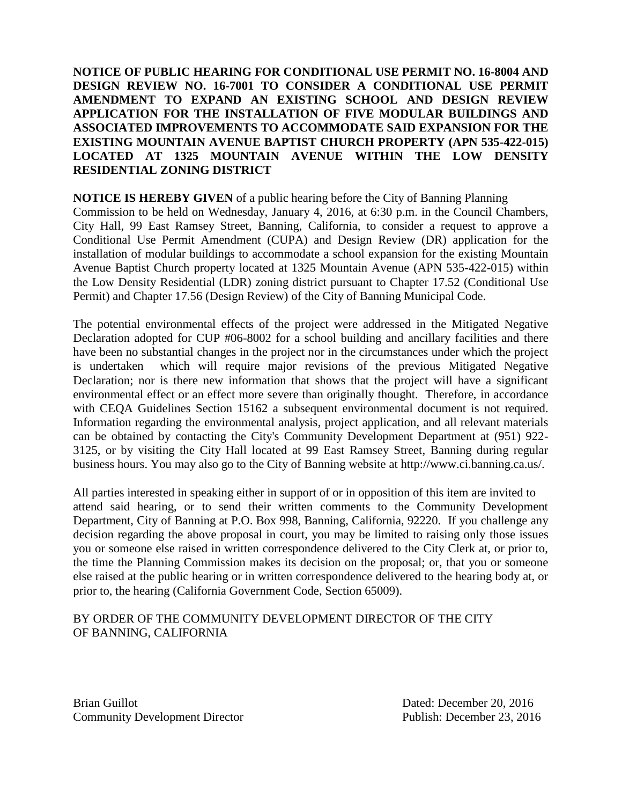**NOTICE OF PUBLIC HEARING FOR CONDITIONAL USE PERMIT NO. 16-8004 AND DESIGN REVIEW NO. 16-7001 TO CONSIDER A CONDITIONAL USE PERMIT AMENDMENT TO EXPAND AN EXISTING SCHOOL AND DESIGN REVIEW APPLICATION FOR THE INSTALLATION OF FIVE MODULAR BUILDINGS AND ASSOCIATED IMPROVEMENTS TO ACCOMMODATE SAID EXPANSION FOR THE EXISTING MOUNTAIN AVENUE BAPTIST CHURCH PROPERTY (APN 535-422-015) LOCATED AT 1325 MOUNTAIN AVENUE WITHIN THE LOW DENSITY RESIDENTIAL ZONING DISTRICT**

**NOTICE IS HEREBY GIVEN** of a public hearing before the City of Banning Planning

Commission to be held on Wednesday, January 4, 2016, at 6:30 p.m. in the Council Chambers, City Hall, 99 East Ramsey Street, Banning, California, to consider a request to approve a Conditional Use Permit Amendment (CUPA) and Design Review (DR) application for the installation of modular buildings to accommodate a school expansion for the existing Mountain Avenue Baptist Church property located at 1325 Mountain Avenue (APN 535-422-015) within the Low Density Residential (LDR) zoning district pursuant to Chapter 17.52 (Conditional Use Permit) and Chapter 17.56 (Design Review) of the City of Banning Municipal Code.

The potential environmental effects of the project were addressed in the Mitigated Negative Declaration adopted for CUP #06-8002 for a school building and ancillary facilities and there have been no substantial changes in the project nor in the circumstances under which the project is undertaken which will require major revisions of the previous Mitigated Negative Declaration; nor is there new information that shows that the project will have a significant environmental effect or an effect more severe than originally thought. Therefore, in accordance with CEQA Guidelines Section 15162 a subsequent environmental document is not required. Information regarding the environmental analysis, project application, and all relevant materials can be obtained by contacting the City's Community Development Department at (951) 922- 3125, or by visiting the City Hall located at 99 East Ramsey Street, Banning during regular business hours. You may also go to the City of Banning website at http://www.ci.banning.ca.us/.

All parties interested in speaking either in support of or in opposition of this item are invited to attend said hearing, or to send their written comments to the Community Development Department, City of Banning at P.O. Box 998, Banning, California, 92220. If you challenge any decision regarding the above proposal in court, you may be limited to raising only those issues you or someone else raised in written correspondence delivered to the City Clerk at, or prior to, the time the Planning Commission makes its decision on the proposal; or, that you or someone else raised at the public hearing or in written correspondence delivered to the hearing body at, or prior to, the hearing (California Government Code, Section 65009).

## BY ORDER OF THE COMMUNITY DEVELOPMENT DIRECTOR OF THE CITY OF BANNING, CALIFORNIA

Brian Guillot **Dated:** December 20, 2016 Community Development Director Publish: December 23, 2016